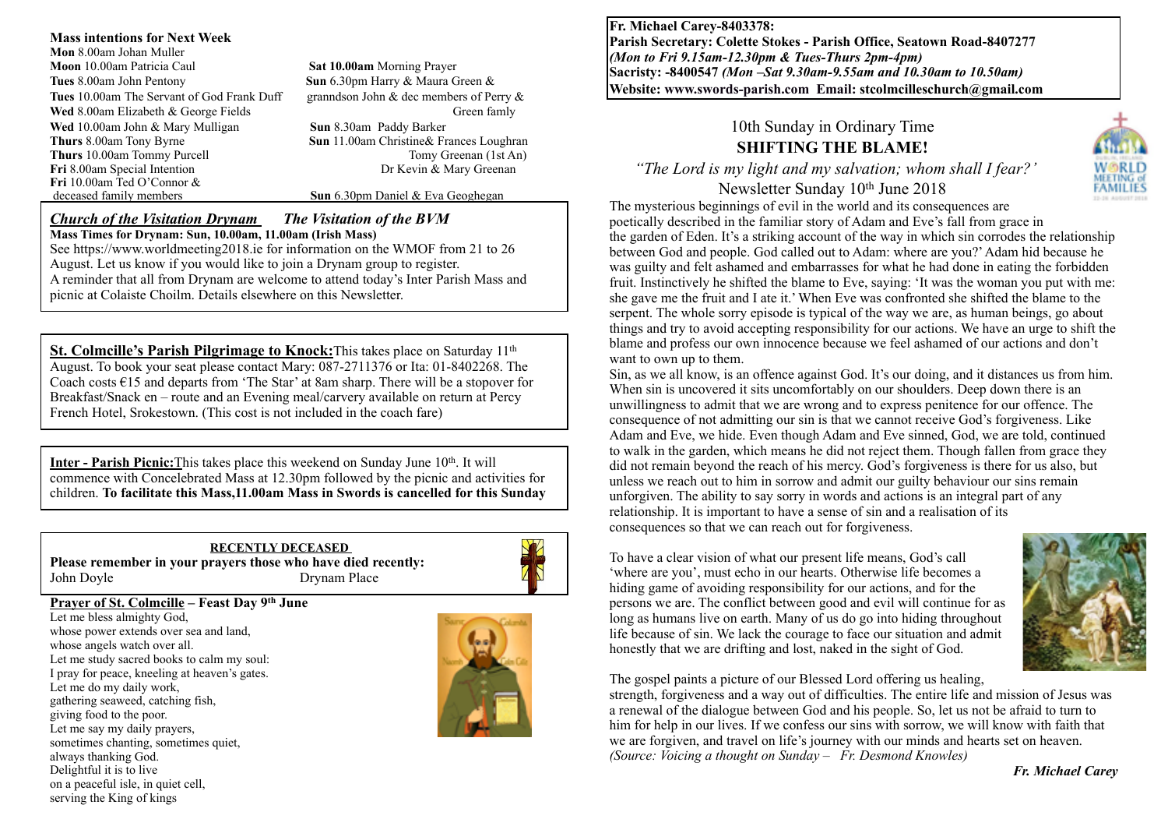**Mass intentions for Next Week Mon** 8.00am Johan Muller **Moon** 10.00am Patricia Caul **Sat 10.00am** Morning Prayer **Tues** 8.00am John Pentony **Sun** 6.30pm Harry & Maura Green & **Tues** 10.00am The Servant of God Frank Duff granndson John & dec members of Perry & **Wed** 8.00am Elizabeth & George Fields Green family **Wed** 10.00am John & Mary Mulligan **Sun** 8.30am Paddy Barker **Thurs 8.00am Tony Byrne <b>Sun 11.00am Christine& Frances Loughran**<br>**Thurs 10.00am Tommy Purcell Sun 11.00am Christine& Frances Loughran Thurs** 10.00am Tommy Purcell Tomy Greenan (1st And Tomy Greenan (1st And Tomy Greenan (1st And Tomy Greenan Computer) **Fri** 8.00am Special Intention **Fri** 10.00am Ted O'Connor & deceased family members

**Sun** 6.30pm Daniel & Eva Geoghegan

#### *Church of the Visitation Drynam**The Visitation of the BVM* **Mass Times for Drynam: Sun, 10.00am, 11.00am (Irish Mass)**

See https://www.worldmeeting2018.ie for information on the WMOF from 21 to 26 August. Let us know if you would like to join a Drynam group to register. A reminder that all from Drynam are welcome to attend today's Inter Parish Mass and picnic at Colaiste Choilm. Details elsewhere on this Newsletter.

**St. Colmcille's Parish Pilgrimage to Knock:**This takes place on Saturday 11<sup>th</sup> August. To book your seat please contact Mary: 087-2711376 or Ita: 01-8402268. The Coach costs  $\epsilon$ 15 and departs from 'The Star' at 8am sharp. There will be a stopover for Breakfast/Snack en – route and an Evening meal/carvery available on return at Percy French Hotel, Srokestown. (This cost is not included in the coach fare)

**Inter - Parish Picnic:**This takes place this weekend on Sunday June 10<sup>th</sup>. It will commence with Concelebrated Mass at 12.30pm followed by the picnic and activities for children. **To facilitate this Mass,11.00am Mass in Swords is cancelled for this Sunday** 

**RECENTLY DECEASED Please remember in your prayers those who have died recently:** John Doyle Drynam Place



#### **Prayer of St. Colmcille – Feast Day 9th June**

Let me bless almighty God, whose power extends over sea and land, whose angels watch over all. Let me study sacred books to calm my soul: I pray for peace, kneeling at heaven's gates. Let me do my daily work, gathering seaweed, catching fish, giving food to the poor. Let me say my daily prayers, sometimes chanting, sometimes quiet, always thanking God. Delightful it is to live on a peaceful isle, in quiet cell, serving the King of kings



**Fr. Michael Carey-8403378: Parish Secretary: Colette Stokes - Parish Office, Seatown Road-8407277**  *(Mon to Fri 9.15am-12.30pm & Tues-Thurs 2pm-4pm)*  **Sacristy: -8400547** *(Mon –Sat 9.30am-9.55am and 10.30am to 10.50am)* **Website: [www.swords-parish.com Email:](http://www.swords-parish.com%20%20email) stcolmcilleschurch@gmail.com**

# 10th Sunday in Ordinary Time **SHIFTING THE BLAME!**

 *"The Lord is my light and my salvation; whom shall I fear?'* 

Newsletter Sunday 10th June 2018



The mysterious beginnings of evil in the world and its consequences are poetically described in the familiar story of Adam and Eve's fall from grace in the garden of Eden. It's a striking account of the way in which sin corrodes the relationship between God and people. God called out to Adam: where are you?' Adam hid because he was guilty and felt ashamed and embarrasses for what he had done in eating the forbidden fruit. Instinctively he shifted the blame to Eve, saying: 'It was the woman you put with me: she gave me the fruit and I ate it.' When Eve was confronted she shifted the blame to the serpent. The whole sorry episode is typical of the way we are, as human beings, go about things and try to avoid accepting responsibility for our actions. We have an urge to shift the blame and profess our own innocence because we feel ashamed of our actions and don't want to own up to them.

Sin, as we all know, is an offence against God. It's our doing, and it distances us from him. When sin is uncovered it sits uncomfortably on our shoulders. Deep down there is an unwillingness to admit that we are wrong and to express penitence for our offence. The consequence of not admitting our sin is that we cannot receive God's forgiveness. Like Adam and Eve, we hide. Even though Adam and Eve sinned, God, we are told, continued to walk in the garden, which means he did not reject them. Though fallen from grace they did not remain beyond the reach of his mercy. God's forgiveness is there for us also, but unless we reach out to him in sorrow and admit our guilty behaviour our sins remain unforgiven. The ability to say sorry in words and actions is an integral part of any relationship. It is important to have a sense of sin and a realisation of its consequences so that we can reach out for forgiveness.

To have a clear vision of what our present life means, God's call 'where are you', must echo in our hearts. Otherwise life becomes a hiding game of avoiding responsibility for our actions, and for the persons we are. The conflict between good and evil will continue for as long as humans live on earth. Many of us do go into hiding throughout life because of sin. We lack the courage to face our situation and admit honestly that we are drifting and lost, naked in the sight of God.



The gospel paints a picture of our Blessed Lord offering us healing,

strength, forgiveness and a way out of difficulties. The entire life and mission of Jesus was a renewal of the dialogue between God and his people. So, let us not be afraid to turn to him for help in our lives. If we confess our sins with sorrow, we will know with faith that we are forgiven, and travel on life's journey with our minds and hearts set on heaven. *(Source: Voicing a thought on Sunday – Fr. Desmond Knowles)* 

*Fr. Michael Carey*